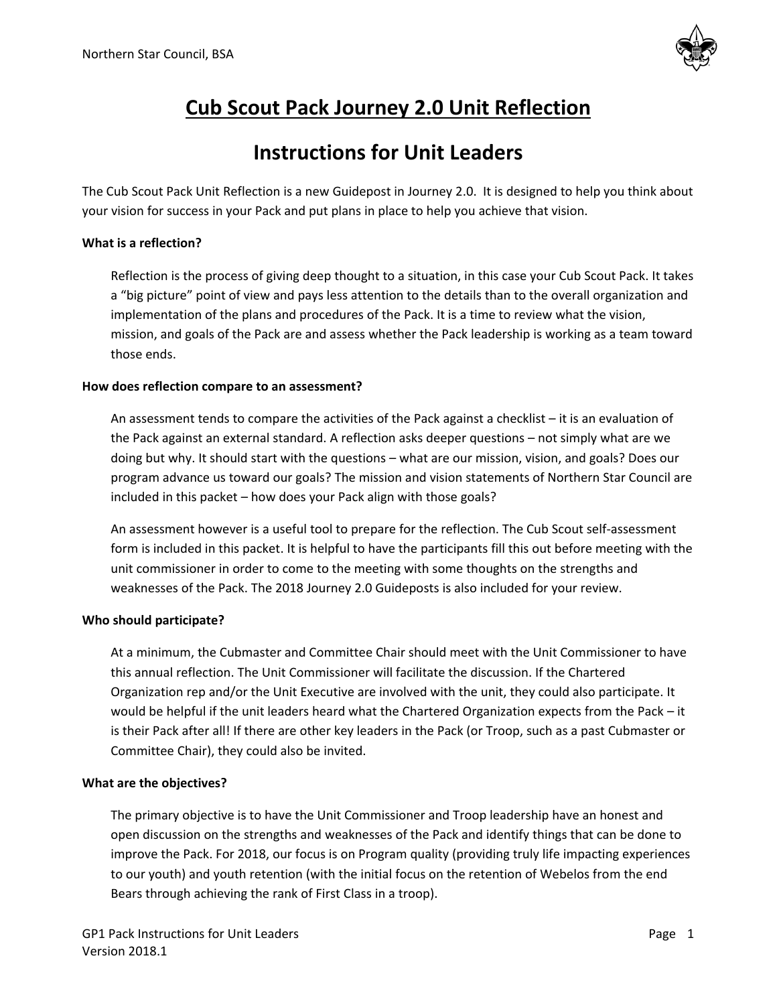

## **Cub Scout Pack Journey 2.0 Unit Reflection**

## **Instructions for Unit Leaders**

The Cub Scout Pack Unit Reflection is a new Guidepost in Journey 2.0. It is designed to help you think about your vision for success in your Pack and put plans in place to help you achieve that vision.

#### **What is a reflection?**

Reflection is the process of giving deep thought to a situation, in this case your Cub Scout Pack. It takes a "big picture" point of view and pays less attention to the details than to the overall organization and implementation of the plans and procedures of the Pack. It is a time to review what the vision, mission, and goals of the Pack are and assess whether the Pack leadership is working as a team toward those ends.

#### **How does reflection compare to an assessment?**

An assessment tends to compare the activities of the Pack against a checklist – it is an evaluation of the Pack against an external standard. A reflection asks deeper questions – not simply what are we doing but why. It should start with the questions – what are our mission, vision, and goals? Does our program advance us toward our goals? The mission and vision statements of Northern Star Council are included in this packet – how does your Pack align with those goals?

An assessment however is a useful tool to prepare for the reflection. The Cub Scout self-assessment form is included in this packet. It is helpful to have the participants fill this out before meeting with the unit commissioner in order to come to the meeting with some thoughts on the strengths and weaknesses of the Pack. The 2018 Journey 2.0 Guideposts is also included for your review.

#### **Who should participate?**

At a minimum, the Cubmaster and Committee Chair should meet with the Unit Commissioner to have this annual reflection. The Unit Commissioner will facilitate the discussion. If the Chartered Organization rep and/or the Unit Executive are involved with the unit, they could also participate. It would be helpful if the unit leaders heard what the Chartered Organization expects from the Pack – it is their Pack after all! If there are other key leaders in the Pack (or Troop, such as a past Cubmaster or Committee Chair), they could also be invited.

#### **What are the objectives?**

The primary objective is to have the Unit Commissioner and Troop leadership have an honest and open discussion on the strengths and weaknesses of the Pack and identify things that can be done to improve the Pack. For 2018, our focus is on Program quality (providing truly life impacting experiences to our youth) and youth retention (with the initial focus on the retention of Webelos from the end Bears through achieving the rank of First Class in a troop).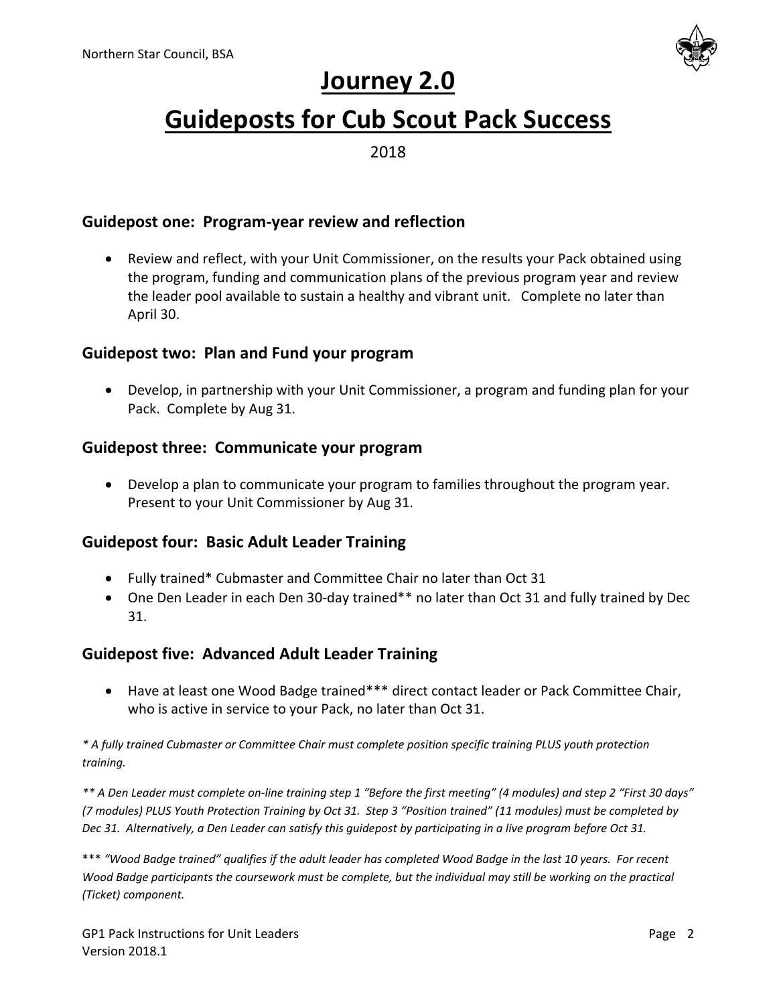

# **Journey 2.0**

# **Guideposts for Cub Scout Pack Success**

2018

## **Guidepost one: Program-year review and reflection**

 Review and reflect, with your Unit Commissioner, on the results your Pack obtained using the program, funding and communication plans of the previous program year and review the leader pool available to sustain a healthy and vibrant unit. Complete no later than April 30.

## **Guidepost two: Plan and Fund your program**

 Develop, in partnership with your Unit Commissioner, a program and funding plan for your Pack. Complete by Aug 31.

## **Guidepost three: Communicate your program**

 Develop a plan to communicate your program to families throughout the program year. Present to your Unit Commissioner by Aug 31.

## **Guidepost four: Basic Adult Leader Training**

- Fully trained\* Cubmaster and Committee Chair no later than Oct 31
- One Den Leader in each Den 30-day trained\*\* no later than Oct 31 and fully trained by Dec 31.

## **Guidepost five: Advanced Adult Leader Training**

 Have at least one Wood Badge trained\*\*\* direct contact leader or Pack Committee Chair, who is active in service to your Pack, no later than Oct 31.

*\* A fully trained Cubmaster or Committee Chair must complete position specific training PLUS youth protection training.*

*\*\* A Den Leader must complete on-line training step 1 "Before the first meeting" (4 modules) and step 2 "First 30 days" (7 modules) PLUS Youth Protection Training by Oct 31. Step 3 "Position trained" (11 modules) must be completed by Dec 31. Alternatively, a Den Leader can satisfy this guidepost by participating in a live program before Oct 31.*

\*\*\* *"Wood Badge trained" qualifies if the adult leader has completed Wood Badge in the last 10 years. For recent Wood Badge participants the coursework must be complete, but the individual may still be working on the practical (Ticket) component.*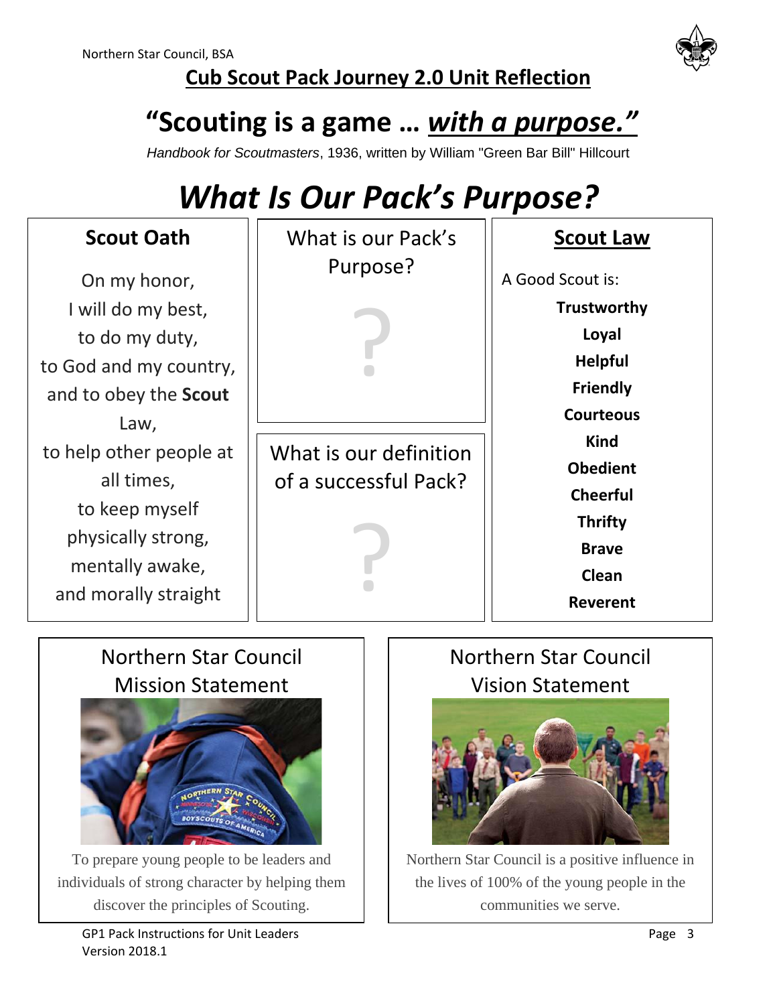

## **Cub Scout Pack Journey 2.0 Unit Reflection**

# **"Scouting is a game …** *with a purpose."*

*Handbook for Scoutmasters*, 1936, written by William "Green Bar Bill" Hillcourt

# *What Is Our Pack's Purpose?*

| <b>Scout Oath</b>                                                                                                        | What is our Pack's                              | <b>Scout Law</b>                                                                                                |
|--------------------------------------------------------------------------------------------------------------------------|-------------------------------------------------|-----------------------------------------------------------------------------------------------------------------|
| On my honor,<br>I will do my best,<br>to do my duty,<br>to God and my country,<br>and to obey the Scout<br>Law,          | Purpose?                                        | A Good Scout is:<br><b>Trustworthy</b><br>Loyal<br><b>Helpful</b><br><b>Friendly</b><br><b>Courteous</b>        |
| to help other people at<br>all times,<br>to keep myself<br>physically strong,<br>mentally awake,<br>and morally straight | What is our definition<br>of a successful Pack? | <b>Kind</b><br><b>Obedient</b><br><b>Cheerful</b><br><b>Thrifty</b><br><b>Brave</b><br>Clean<br><b>Reverent</b> |

## Northern Star Council Mission Statement



To prepare young people to be leaders and individuals of strong character by helping them discover the principles of Scouting.

## Northern Star Council Vision Statement



Northern Star Council is a positive influence in the lives of 100% of the young people in the communities we serve.